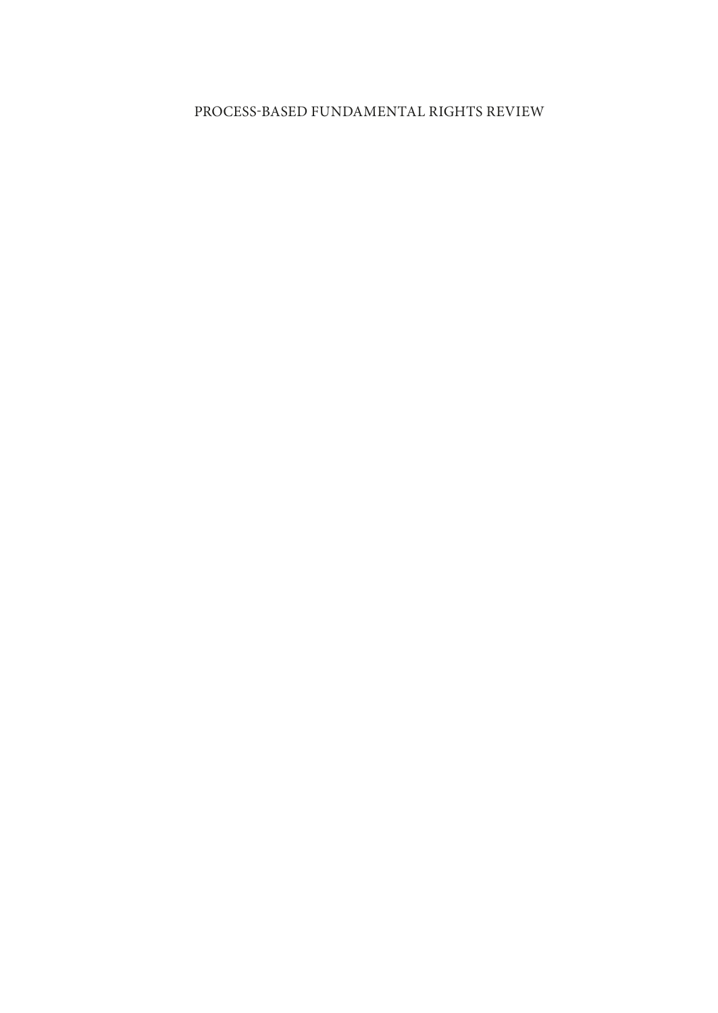## PROCESS-BASED FUNDAMENTAL RIGHTS REVIEW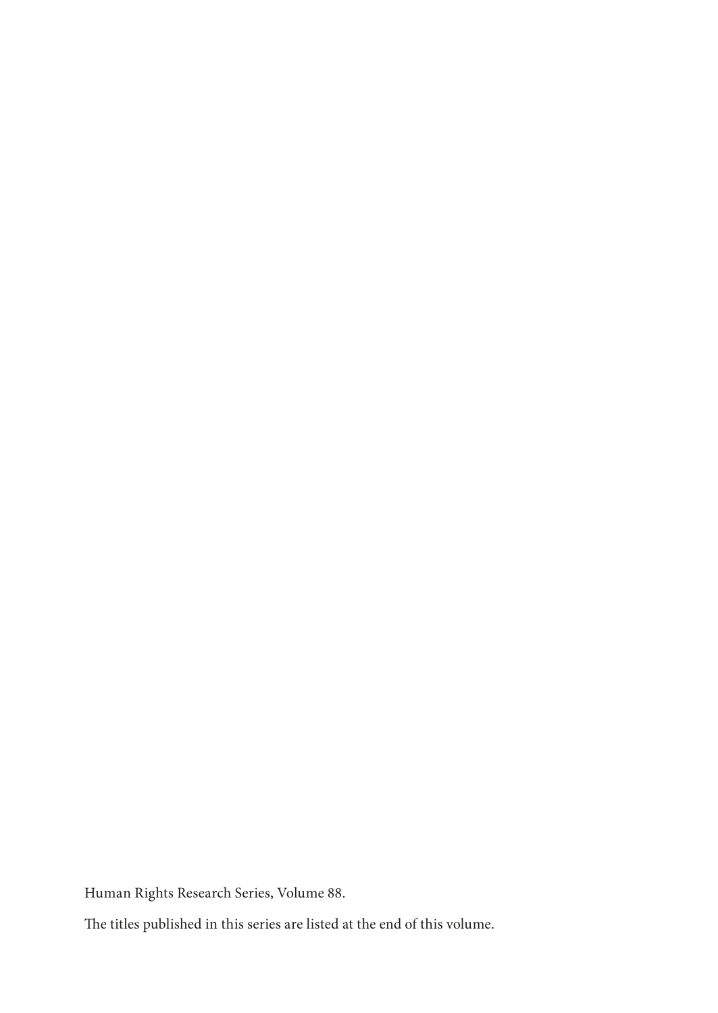Human Rights Research Series, Volume 88.

The titles published in this series are listed at the end of this volume.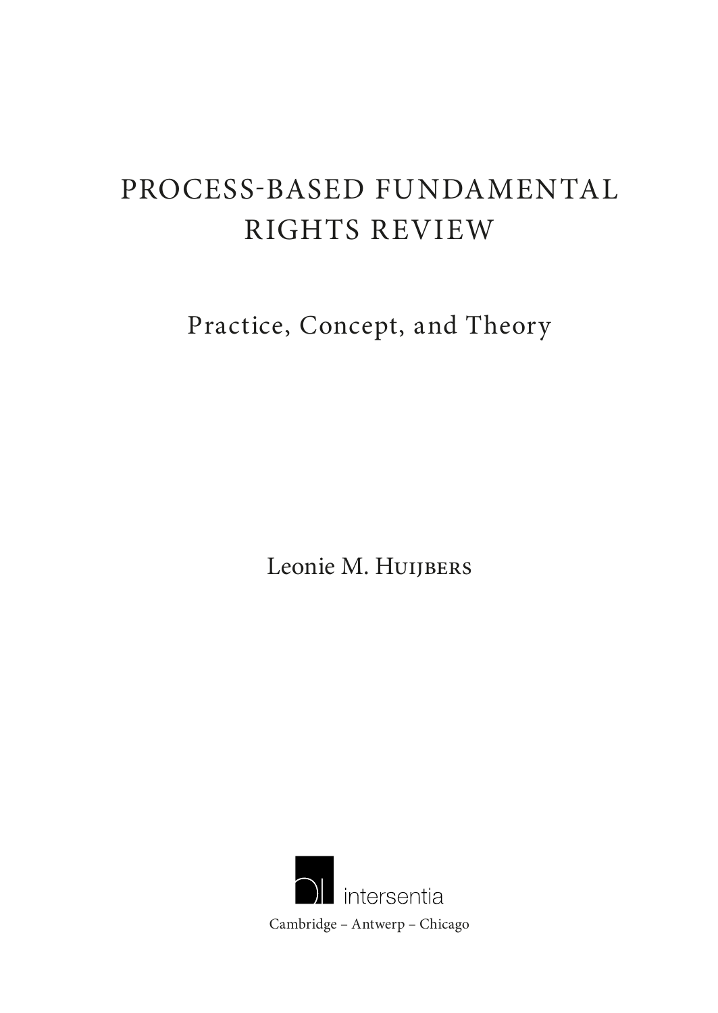# PROCESS-BASED FUNDAMENTAL RIGHTS REVIEW

Practice, Concept, and Theory

Leonie M. HUIJBERS

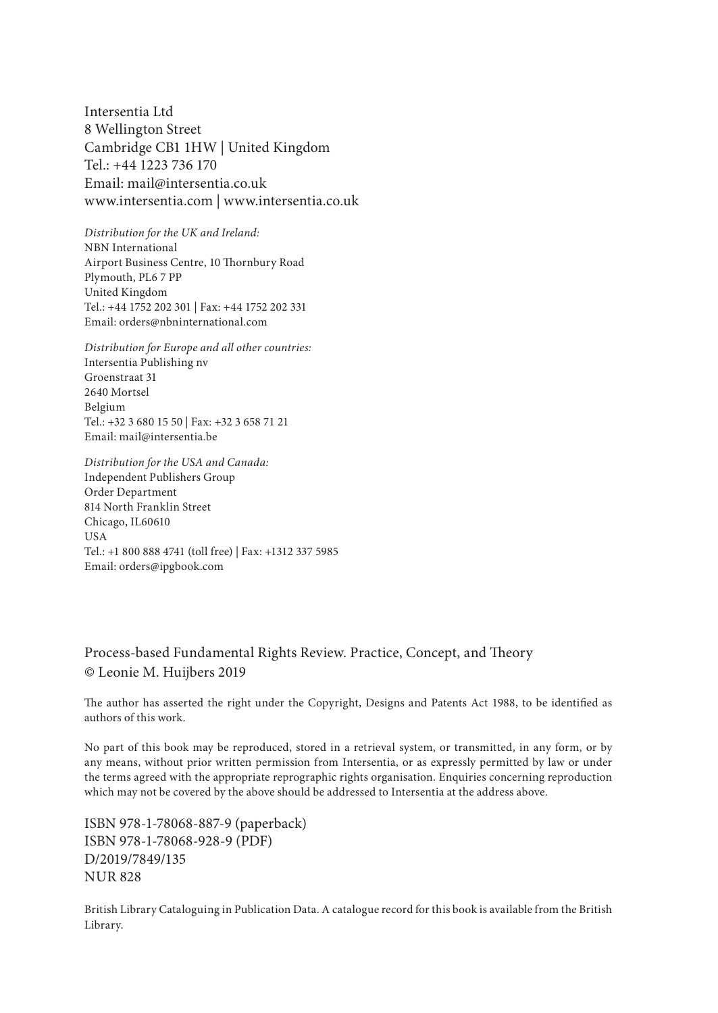Intersentia Ltd 8 Wellington Street Cambridge CB1 1HW | United Kingdom Tel.: +44 1223 736 170 Email: mail@intersentia.co.uk www.intersentia.com | www.intersentia.co.uk

*Distribution for the UK and Ireland:* NBN International Airport Business Centre, 10 Thornbury Road Plymouth, PL6 7 PP United Kingdom Tel.: +44 1752 202 301 | Fax: +44 1752 202 331 Email: orders@nbninternational.com

*Distribution for Europe and all other countries:* Intersentia Publishing nv Groenstraat 31 2640 Mortsel Belgium Tel.: +32 3 680 15 50 | Fax: +32 3 658 71 21 Email: mail@intersentia.be

*Distribution for the USA and Canada:* Independent Publishers Group Order Department 814 North Franklin Street Chicago, IL60610 **USA** Tel.: +1 800 888 4741 (toll free) | Fax: +1312 337 5985 Email: orders@ipgbook.com

#### Process-based Fundamental Rights Review. Practice, Concept, and Theory © Leonie M. Huijbers 2019

The author has asserted the right under the Copyright, Designs and Patents Act 1988, to be identified as authors of this work.

No part of this book may be reproduced, stored in a retrieval system, or transmitted, in any form, or by any means, without prior written permission from Intersentia, or as expressly permitted by law or under the terms agreed with the appropriate reprographic rights organisation. Enquiries concerning reproduction which may not be covered by the above should be addressed to Intersentia at the address above.

ISBN 978-1-78068-887-9 (paperback) ISBN 978-1-78068-928-9 (PDF) D/2019/7849/135 NUR 828

British Library Cataloguing in Publication Data. A catalogue record for this book is available from the British Library.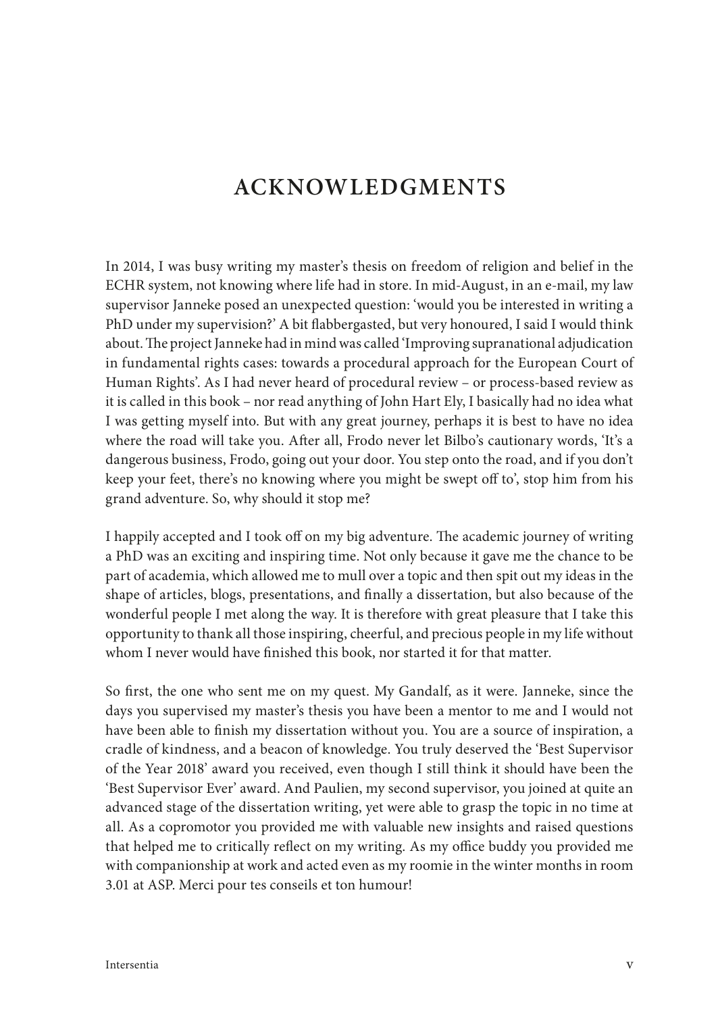## **ACKNOWLEDGMENTS**

In 2014, I was busy writing my master's thesis on freedom of religion and belief in the ECHR system, not knowing where life had in store. In mid-August, in an e-mail, my law supervisor Janneke posed an unexpected question: 'would you be interested in writing a PhD under my supervision?' A bit flabbergasted, but very honoured, I said I would think about. The project Janneke had in mind was called 'Improving supranational adjudication in fundamental rights cases: towards a procedural approach for the European Court of Human Rights'. As I had never heard of procedural review – or process-based review as it is called in this book – nor read anything of John Hart Ely, I basically had no idea what I was getting myself into. But with any great journey, perhaps it is best to have no idea where the road will take you. After all, Frodo never let Bilbo's cautionary words, 'It's a dangerous business, Frodo, going out your door. You step onto the road, and if you don't keep your feet, there's no knowing where you might be swept off to', stop him from his grand adventure. So, why should it stop me?

I happily accepted and I took off on my big adventure. The academic journey of writing a PhD was an exciting and inspiring time. Not only because it gave me the chance to be part of academia, which allowed me to mull over a topic and then spit out my ideas in the shape of articles, blogs, presentations, and finally a dissertation, but also because of the wonderful people I met along the way. It is therefore with great pleasure that I take this opportunity to thank all those inspiring, cheerful, and precious people in my life without whom I never would have finished this book, nor started it for that matter.

So first, the one who sent me on my quest. My Gandalf, as it were. Janneke, since the days you supervised my master's thesis you have been a mentor to me and I would not have been able to finish my dissertation without you. You are a source of inspiration, a cradle of kindness, and a beacon of knowledge. You truly deserved the 'Best Supervisor of the Year 2018' award you received, even though I still think it should have been the 'Best Supervisor Ever' award. And Paulien, my second supervisor, you joined at quite an advanced stage of the dissertation writing, yet were able to grasp the topic in no time at all. As a copromotor you provided me with valuable new insights and raised questions that helped me to critically reflect on my writing. As my office buddy you provided me with companionship at work and acted even as my roomie in the winter months in room 3.01 at ASP. Merci pour tes conseils et ton humour!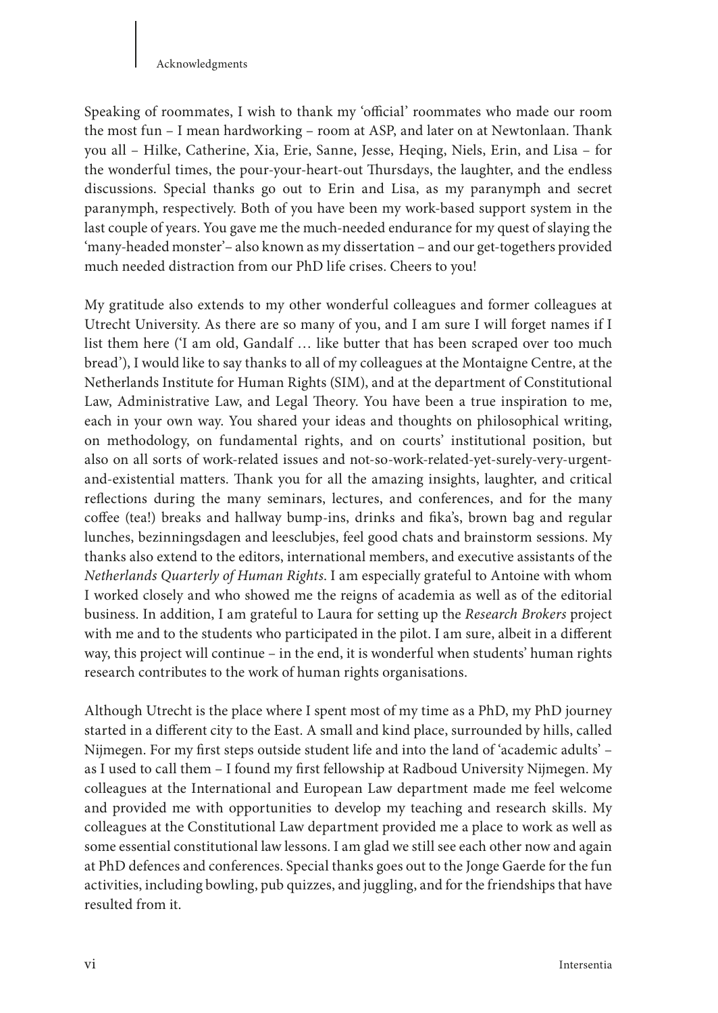#### Acknowledgments

Speaking of roommates, I wish to thank my 'official' roommates who made our room the most fun – I mean hardworking – room at ASP, and later on at Newtonlaan. Thank you all – Hilke, Catherine, Xia, Erie, Sanne, Jesse, Heqing, Niels, Erin, and Lisa – for the wonderful times, the pour-your-heart-out Thursdays, the laughter, and the endless discussions. Special thanks go out to Erin and Lisa, as my paranymph and secret paranymph, respectively. Both of you have been my work-based support system in the last couple of years. You gave me the much-needed endurance for my quest of slaying the 'many-headed monster'– also known as my dissertation – and our get-togethers provided much needed distraction from our PhD life crises. Cheers to you!

My gratitude also extends to my other wonderful colleagues and former colleagues at Utrecht University. As there are so many of you, and I am sure I will forget names if I list them here ('I am old, Gandalf … like butter that has been scraped over too much bread'), I would like to say thanks to all of my colleagues at the Montaigne Centre, at the Netherlands Institute for Human Rights (SIM), and at the department of Constitutional Law, Administrative Law, and Legal Theory. You have been a true inspiration to me, each in your own way. You shared your ideas and thoughts on philosophical writing, on methodology, on fundamental rights, and on courts' institutional position, but also on all sorts of work-related issues and not-so-work-related-yet-surely-very-urgentand-existential matters. Thank you for all the amazing insights, laughter, and critical reflections during the many seminars, lectures, and conferences, and for the many coffee (tea!) breaks and hallway bump-ins, drinks and fika's, brown bag and regular lunches, bezinningsdagen and leesclubjes, feel good chats and brainstorm sessions. My thanks also extend to the editors, international members, and executive assistants of the *Netherlands Quarterly of Human Rights*. I am especially grateful to Antoine with whom I worked closely and who showed me the reigns of academia as well as of the editorial business. In addition, I am grateful to Laura for setting up the *Research Brokers* project with me and to the students who participated in the pilot. I am sure, albeit in a different way, this project will continue – in the end, it is wonderful when students' human rights research contributes to the work of human rights organisations.

Although Utrecht is the place where I spent most of my time as a PhD, my PhD journey started in a different city to the East. A small and kind place, surrounded by hills, called Nijmegen. For my first steps outside student life and into the land of 'academic adults' – as I used to call them – I found my first fellowship at Radboud University Nijmegen. My colleagues at the International and European Law department made me feel welcome and provided me with opportunities to develop my teaching and research skills. My colleagues at the Constitutional Law department provided me a place to work as well as some essential constitutional law lessons. I am glad we still see each other now and again at PhD defences and conferences. Special thanks goes out to the Jonge Gaerde for the fun activities, including bowling, pub quizzes, and juggling, and for the friendships that have resulted from it.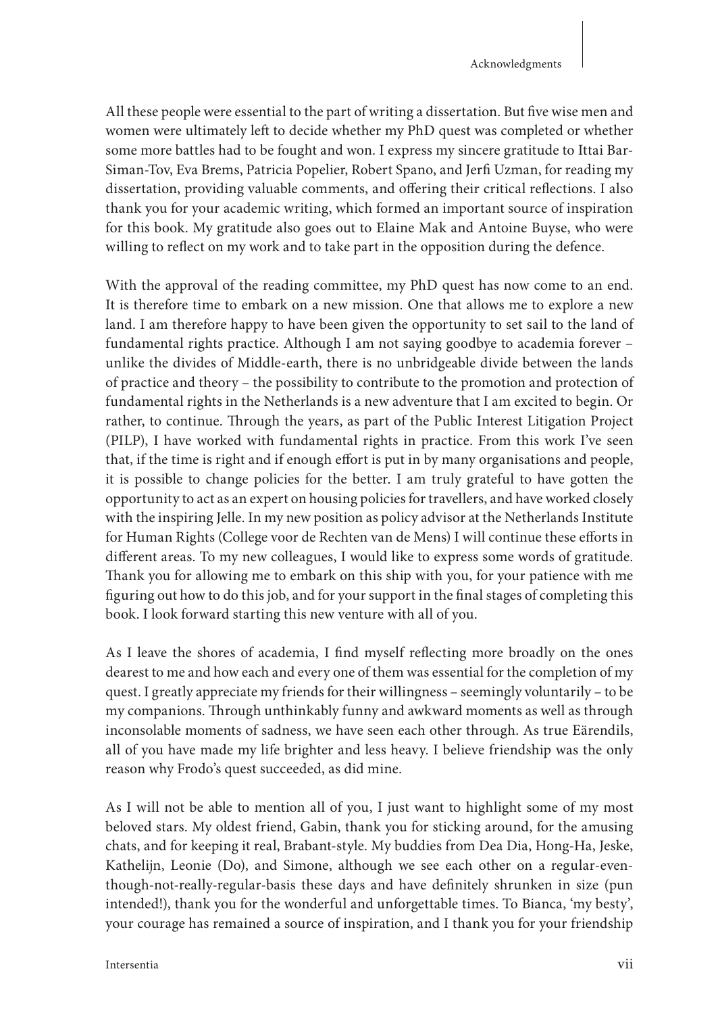All these people were essential to the part of writing a dissertation. But five wise men and women were ultimately left to decide whether my PhD quest was completed or whether some more battles had to be fought and won. I express my sincere gratitude to Ittai Bar-Siman-Tov, Eva Brems, Patricia Popelier, Robert Spano, and Jerfi Uzman, for reading my dissertation, providing valuable comments, and offering their critical reflections. I also thank you for your academic writing, which formed an important source of inspiration for this book. My gratitude also goes out to Elaine Mak and Antoine Buyse, who were willing to reflect on my work and to take part in the opposition during the defence.

With the approval of the reading committee, my PhD quest has now come to an end. It is therefore time to embark on a new mission. One that allows me to explore a new land. I am therefore happy to have been given the opportunity to set sail to the land of fundamental rights practice. Although I am not saying goodbye to academia forever – unlike the divides of Middle-earth, there is no unbridgeable divide between the lands of practice and theory – the possibility to contribute to the promotion and protection of fundamental rights in the Netherlands is a new adventure that I am excited to begin. Or rather, to continue. Through the years, as part of the Public Interest Litigation Project (PILP), I have worked with fundamental rights in practice. From this work I've seen that, if the time is right and if enough effort is put in by many organisations and people, it is possible to change policies for the better. I am truly grateful to have gotten the opportunity to act as an expert on housing policies for travellers, and have worked closely with the inspiring Jelle. In my new position as policy advisor at the Netherlands Institute for Human Rights (College voor de Rechten van de Mens) I will continue these efforts in different areas. To my new colleagues, I would like to express some words of gratitude. Thank you for allowing me to embark on this ship with you, for your patience with me figuring out how to do this job, and for your support in the final stages of completing this book. I look forward starting this new venture with all of you.

As I leave the shores of academia, I find myself reflecting more broadly on the ones dearest to me and how each and every one of them was essential for the completion of my quest. I greatly appreciate my friends for their willingness – seemingly voluntarily – to be my companions. Through unthinkably funny and awkward moments as well as through inconsolable moments of sadness, we have seen each other through. As true Eärendils, all of you have made my life brighter and less heavy. I believe friendship was the only reason why Frodo's quest succeeded, as did mine.

As I will not be able to mention all of you, I just want to highlight some of my most beloved stars. My oldest friend, Gabin, thank you for sticking around, for the amusing chats, and for keeping it real, Brabant-style. My buddies from Dea Dia, Hong-Ha, Jeske, Kathelijn, Leonie (Do), and Simone, although we see each other on a regular-eventhough-not-really-regular-basis these days and have definitely shrunken in size (pun intended!), thank you for the wonderful and unforgettable times. To Bianca, 'my besty', your courage has remained a source of inspiration, and I thank you for your friendship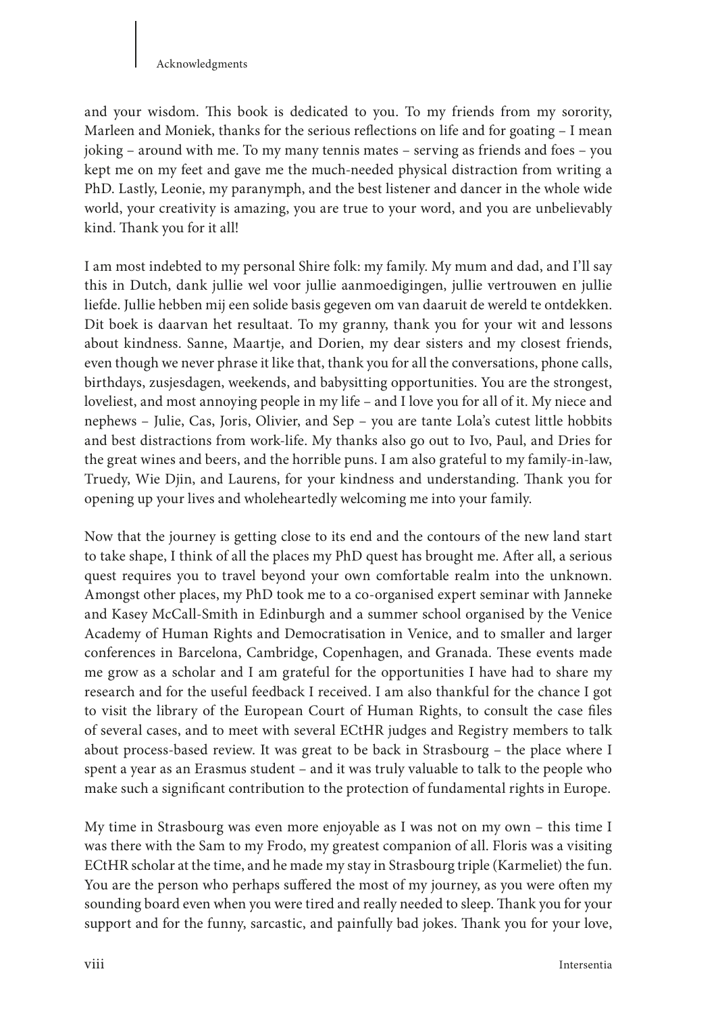#### Acknowledgments

and your wisdom. This book is dedicated to you. To my friends from my sorority, Marleen and Moniek, thanks for the serious reflections on life and for goating – I mean joking – around with me. To my many tennis mates – serving as friends and foes – you kept me on my feet and gave me the much-needed physical distraction from writing a PhD. Lastly, Leonie, my paranymph, and the best listener and dancer in the whole wide world, your creativity is amazing, you are true to your word, and you are unbelievably kind. Thank you for it all!

I am most indebted to my personal Shire folk: my family. My mum and dad, and I'll say this in Dutch, dank jullie wel voor jullie aanmoedigingen, jullie vertrouwen en jullie liefde. Jullie hebben mij een solide basis gegeven om van daaruit de wereld te ontdekken. Dit boek is daarvan het resultaat. To my granny, thank you for your wit and lessons about kindness. Sanne, Maartje, and Dorien, my dear sisters and my closest friends, even though we never phrase it like that, thank you for all the conversations, phone calls, birthdays, zusjesdagen, weekends, and babysitting opportunities. You are the strongest, loveliest, and most annoying people in my life – and I love you for all of it. My niece and nephews – Julie, Cas, Joris, Olivier, and Sep – you are tante Lola's cutest little hobbits and best distractions from work-life. My thanks also go out to Ivo, Paul, and Dries for the great wines and beers, and the horrible puns. I am also grateful to my family-in-law, Truedy, Wie Djin, and Laurens, for your kindness and understanding. Thank you for opening up your lives and wholeheartedly welcoming me into your family.

Now that the journey is getting close to its end and the contours of the new land start to take shape, I think of all the places my PhD quest has brought me. After all, a serious quest requires you to travel beyond your own comfortable realm into the unknown. Amongst other places, my PhD took me to a co-organised expert seminar with Janneke and Kasey McCall-Smith in Edinburgh and a summer school organised by the Venice Academy of Human Rights and Democratisation in Venice, and to smaller and larger conferences in Barcelona, Cambridge, Copenhagen, and Granada. These events made me grow as a scholar and I am grateful for the opportunities I have had to share my research and for the useful feedback I received. I am also thankful for the chance I got to visit the library of the European Court of Human Rights, to consult the case files of several cases, and to meet with several ECtHR judges and Registry members to talk about process-based review. It was great to be back in Strasbourg – the place where I spent a year as an Erasmus student – and it was truly valuable to talk to the people who make such a significant contribution to the protection of fundamental rights in Europe.

My time in Strasbourg was even more enjoyable as I was not on my own – this time I was there with the Sam to my Frodo, my greatest companion of all. Floris was a visiting ECtHR scholar at the time, and he made my stay in Strasbourg triple (Karmeliet) the fun. You are the person who perhaps suffered the most of my journey, as you were often my sounding board even when you were tired and really needed to sleep. Thank you for your support and for the funny, sarcastic, and painfully bad jokes. Thank you for your love,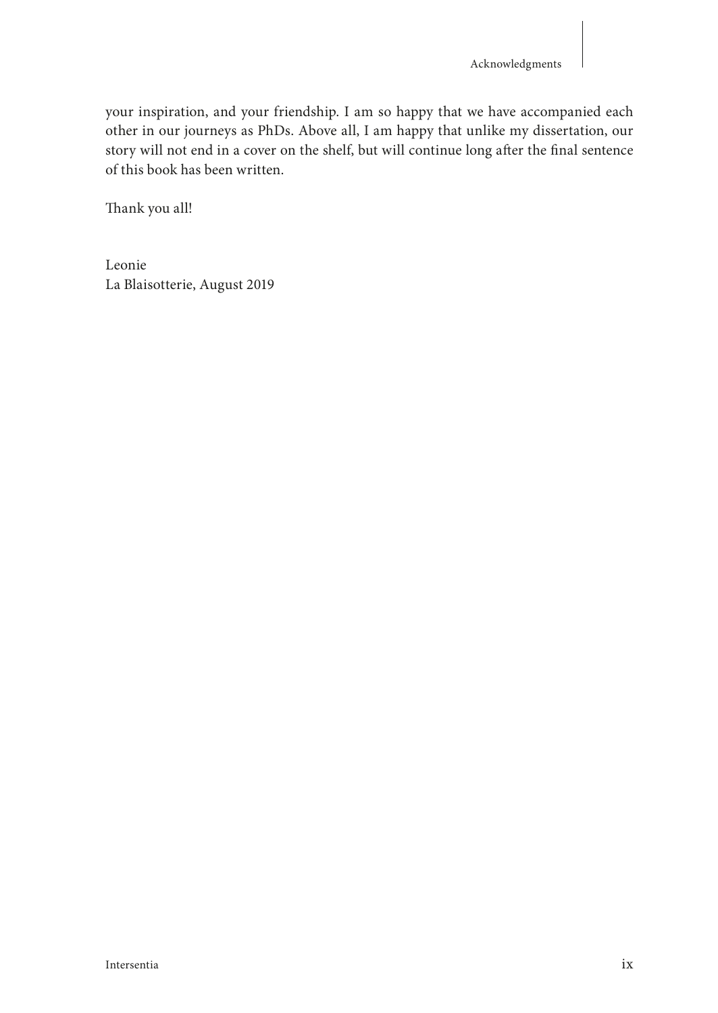your inspiration, and your friendship. I am so happy that we have accompanied each other in our journeys as PhDs. Above all, I am happy that unlike my dissertation, our story will not end in a cover on the shelf, but will continue long after the final sentence of this book has been written.

Thank you all!

Leonie La Blaisotterie, August 2019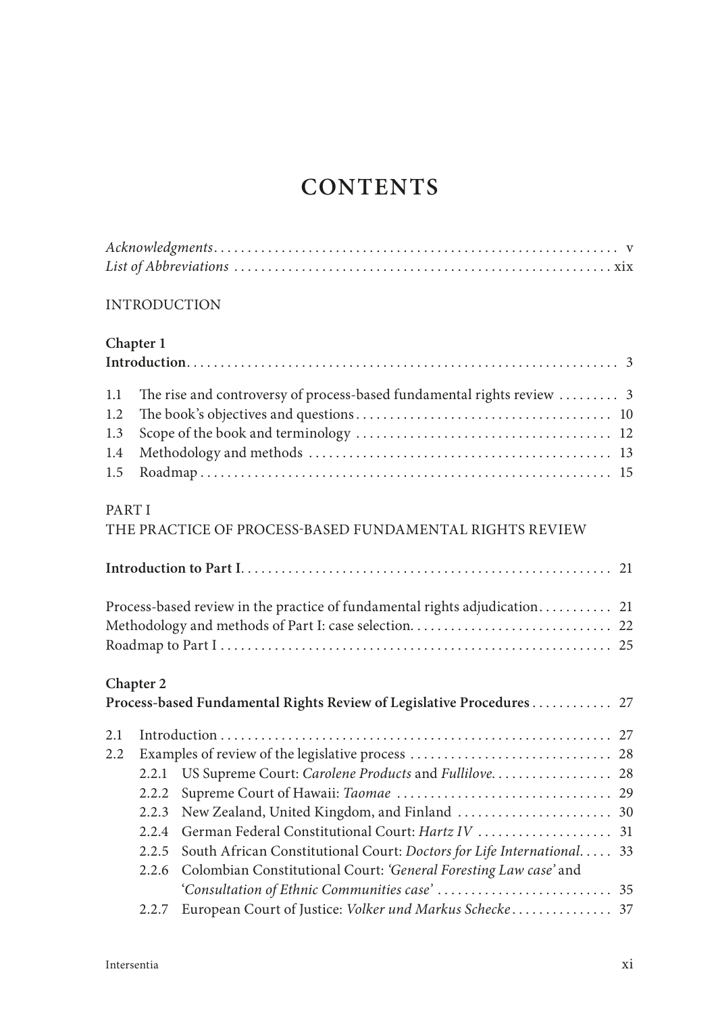## **CONTENTS**

#### INTRODUCTION

## **Chapter 1**

| 1.1    |           | The rise and controversy of process-based fundamental rights review  3     |  |
|--------|-----------|----------------------------------------------------------------------------|--|
| 1.2    |           |                                                                            |  |
| 1.3    |           |                                                                            |  |
| 1.4    |           |                                                                            |  |
| 1.5    |           |                                                                            |  |
| PART I |           |                                                                            |  |
|        |           | THE PRACTICE OF PROCESS-BASED FUNDAMENTAL RIGHTS REVIEW                    |  |
|        |           |                                                                            |  |
|        |           | Process-based review in the practice of fundamental rights adjudication 21 |  |
|        |           |                                                                            |  |
|        |           |                                                                            |  |
|        | Chapter 2 |                                                                            |  |
|        |           | Process-based Fundamental Rights Review of Legislative Procedures 27       |  |
| 2.1    |           |                                                                            |  |
| 2.2    |           |                                                                            |  |
|        | 2.2.1     | US Supreme Court: Carolene Products and Fullilove 28                       |  |
|        | 2.2.2     |                                                                            |  |
|        | 2.2.3     |                                                                            |  |
|        | 2.2.4     |                                                                            |  |
|        | 2.2.5     | South African Constitutional Court: Doctors for Life International 33      |  |
|        | 2.2.6     | Colombian Constitutional Court: 'General Foresting Law case' and           |  |
|        |           |                                                                            |  |
|        | 2.2.7     | European Court of Justice: Volker und Markus Schecke 37                    |  |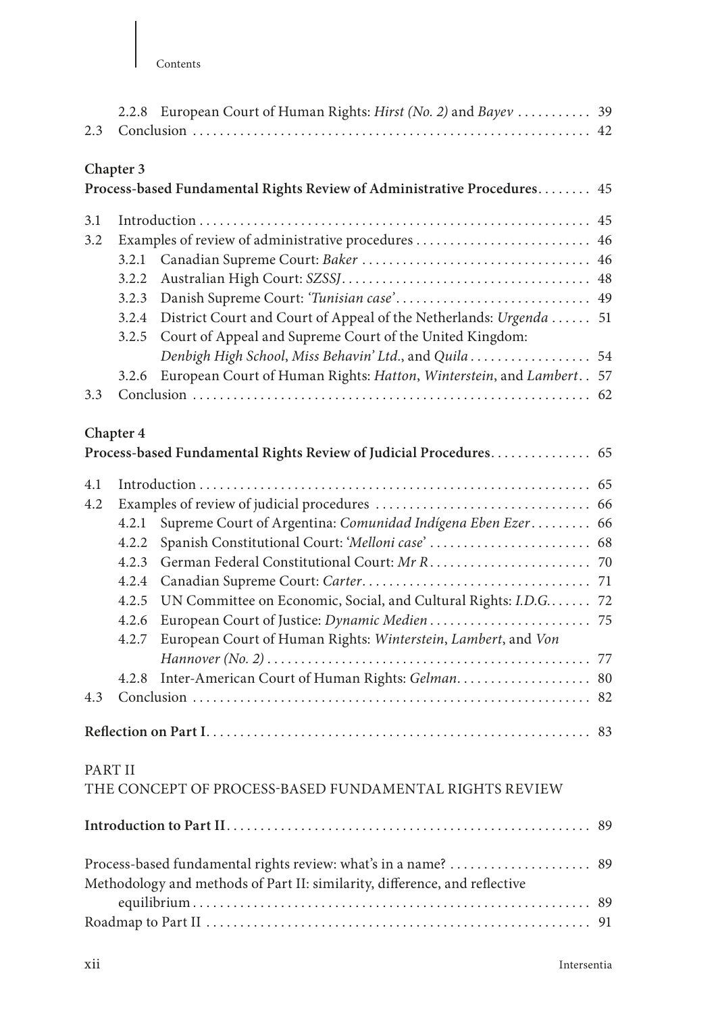| 2.3     | 2.2.8 European Court of Human Rights: <i>Hirst (No. 2)</i> and <i>Bayev</i> 39                                                                   |    |
|---------|--------------------------------------------------------------------------------------------------------------------------------------------------|----|
|         | Chapter 3                                                                                                                                        |    |
|         | Process-based Fundamental Rights Review of Administrative Procedures                                                                             | 45 |
| 3.1     |                                                                                                                                                  |    |
| 3.2     | Examples of review of administrative procedures  46                                                                                              |    |
|         | 3.2.1                                                                                                                                            |    |
|         | 3.2.2                                                                                                                                            |    |
|         | 3.2.3                                                                                                                                            |    |
|         | District Court and Court of Appeal of the Netherlands: Urgenda  51<br>3.2.4<br>Court of Appeal and Supreme Court of the United Kingdom:<br>3.2.5 |    |
|         | Denbigh High School, Miss Behavin' Ltd., and Quila  54                                                                                           |    |
|         | European Court of Human Rights: Hatton, Winterstein, and Lambert. . 57<br>3.2.6                                                                  |    |
| 3.3     |                                                                                                                                                  |    |
|         | Chapter 4                                                                                                                                        |    |
|         | Process-based Fundamental Rights Review of Judicial Procedures 65                                                                                |    |
| 4.1     |                                                                                                                                                  |    |
| 4.2     |                                                                                                                                                  |    |
|         | Supreme Court of Argentina: Comunidad Indígena Eben Ezer 66<br>4.2.1                                                                             |    |
|         | 4.2.2                                                                                                                                            |    |
|         | 4.2.3                                                                                                                                            |    |
|         | 4.2.4                                                                                                                                            |    |
|         | UN Committee on Economic, Social, and Cultural Rights: I.D.G 72<br>4.2.5                                                                         |    |
|         | 4.2.6                                                                                                                                            |    |
|         | European Court of Human Rights: Winterstein, Lambert, and Von<br>4.2.7                                                                           |    |
|         |                                                                                                                                                  |    |
|         | Inter-American Court of Human Rights: Gelman 80<br>4.2.8                                                                                         |    |
| 4.3     |                                                                                                                                                  |    |
|         |                                                                                                                                                  |    |
| PART II |                                                                                                                                                  |    |
|         | THE CONCEPT OF PROCESS-BASED FUNDAMENTAL RIGHTS REVIEW                                                                                           |    |
|         |                                                                                                                                                  | 89 |
|         | Process-based fundamental rights review: what's in a name?<br>Methodology and methods of Part II: similarity, difference, and reflective         | 89 |
|         |                                                                                                                                                  |    |
|         |                                                                                                                                                  |    |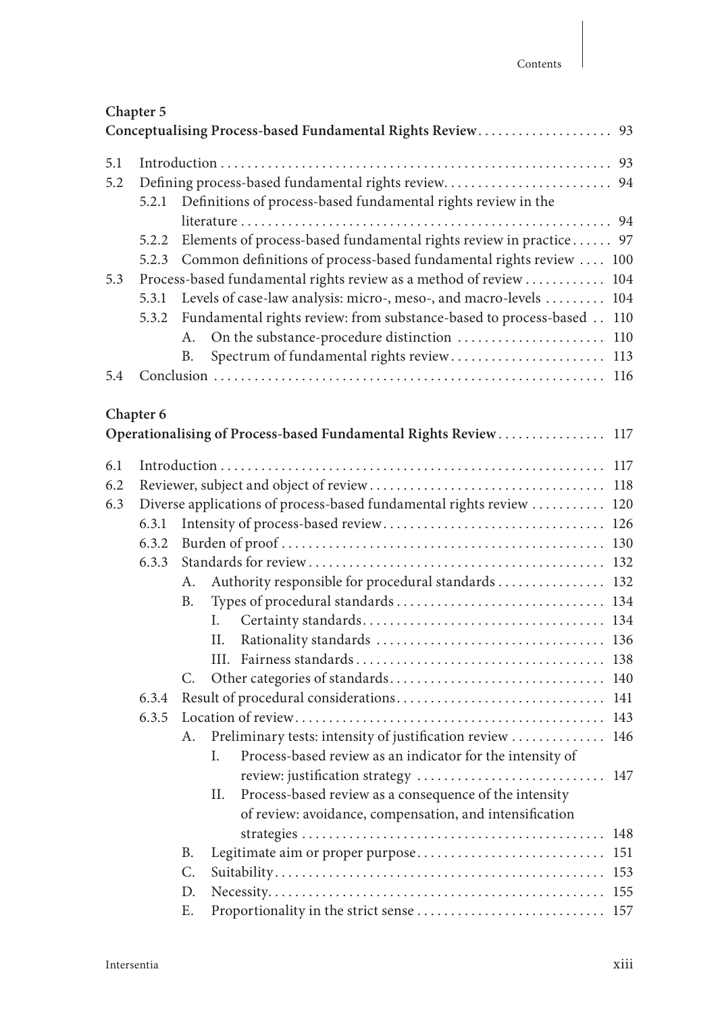## **Chapter 5**

| 5.1 |                                                                    |                                                                            |  |  |
|-----|--------------------------------------------------------------------|----------------------------------------------------------------------------|--|--|
| 5.2 |                                                                    |                                                                            |  |  |
|     |                                                                    | 5.2.1 Definitions of process-based fundamental rights review in the        |  |  |
|     |                                                                    |                                                                            |  |  |
|     |                                                                    | 5.2.2 Elements of process-based fundamental rights review in practice 97   |  |  |
|     |                                                                    | 5.2.3 Common definitions of process-based fundamental rights review  100   |  |  |
| 5.3 | Process-based fundamental rights review as a method of review  104 |                                                                            |  |  |
|     |                                                                    | 5.3.1 Levels of case-law analysis: micro-, meso-, and macro-levels  104    |  |  |
|     |                                                                    | 5.3.2 Fundamental rights review: from substance-based to process-based 110 |  |  |
|     |                                                                    |                                                                            |  |  |
|     |                                                                    | Spectrum of fundamental rights review 113<br><b>B.</b>                     |  |  |
| 5.4 |                                                                    |                                                                            |  |  |

## **Chapter 6**

|     |                                                                      |           | Operationalising of Process-based Fundamental Rights Review 117           |  |  |  |
|-----|----------------------------------------------------------------------|-----------|---------------------------------------------------------------------------|--|--|--|
| 6.1 |                                                                      |           |                                                                           |  |  |  |
| 6.2 |                                                                      |           |                                                                           |  |  |  |
| 6.3 | Diverse applications of process-based fundamental rights review  120 |           |                                                                           |  |  |  |
|     | 6.3.1                                                                |           |                                                                           |  |  |  |
|     | 6.3.2                                                                |           |                                                                           |  |  |  |
|     | 6.3.3                                                                |           |                                                                           |  |  |  |
|     |                                                                      | А.        | Authority responsible for procedural standards  132                       |  |  |  |
|     |                                                                      | <b>B.</b> |                                                                           |  |  |  |
|     |                                                                      |           | L                                                                         |  |  |  |
|     |                                                                      |           | H.                                                                        |  |  |  |
|     |                                                                      |           | HL.                                                                       |  |  |  |
|     |                                                                      | C.        |                                                                           |  |  |  |
|     | 6.3.4                                                                |           |                                                                           |  |  |  |
|     | 6.3.5                                                                |           |                                                                           |  |  |  |
|     |                                                                      | A.        | Preliminary tests: intensity of justification review  146                 |  |  |  |
|     |                                                                      |           | Process-based review as an indicator for the intensity of<br>$\mathbf{L}$ |  |  |  |
|     |                                                                      |           | review: justification strategy  147                                       |  |  |  |
|     |                                                                      |           | II. Process-based review as a consequence of the intensity                |  |  |  |
|     |                                                                      |           | of review: avoidance, compensation, and intensification                   |  |  |  |
|     |                                                                      |           |                                                                           |  |  |  |
|     |                                                                      | <b>B.</b> | Legitimate aim or proper purpose 151                                      |  |  |  |
|     |                                                                      | C.        |                                                                           |  |  |  |
|     |                                                                      | D.        |                                                                           |  |  |  |
|     |                                                                      | E.        |                                                                           |  |  |  |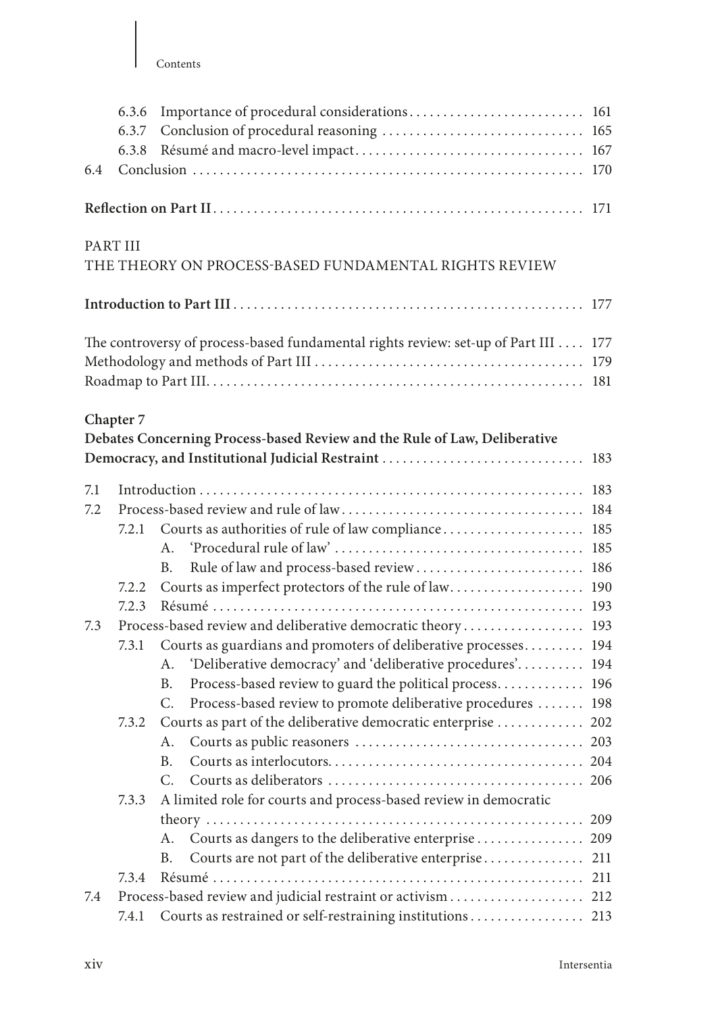| 6.4       | 6.3.6<br>6.3.7<br>6.3.8 |                                                                                     |     |
|-----------|-------------------------|-------------------------------------------------------------------------------------|-----|
|           |                         |                                                                                     |     |
| PART III  |                         | THE THEORY ON PROCESS-BASED FUNDAMENTAL RIGHTS REVIEW                               |     |
|           |                         |                                                                                     |     |
|           |                         | The controversy of process-based fundamental rights review: set-up of Part III  177 |     |
| Chapter 7 |                         | Debates Concerning Process-based Review and the Rule of Law, Deliberative           |     |
| 7.1       |                         |                                                                                     |     |
| 7.2       |                         |                                                                                     |     |
|           | 7.2.1                   | Courts as authorities of rule of law compliance 185                                 |     |
|           |                         | $A_{-}$                                                                             |     |
|           |                         | Rule of law and process-based review 186<br>B.                                      |     |
|           | 7.2.2<br>7.2.3          | Courts as imperfect protectors of the rule of law 190                               |     |
| 7.3       |                         | Process-based review and deliberative democratic theory 193                         |     |
|           | 7.3.1                   | Courts as guardians and promoters of deliberative processes 194                     |     |
|           |                         | 'Deliberative democracy' and 'deliberative procedures' 194<br>А.                    |     |
|           |                         | Process-based review to guard the political process 196<br>B.                       |     |
|           |                         | Process-based review to promote deliberative procedures  198<br>C.                  |     |
|           | 7.3.2                   | Courts as part of the deliberative democratic enterprise  202                       |     |
|           |                         | А.                                                                                  |     |
|           |                         | В.                                                                                  |     |
|           |                         | C.                                                                                  |     |
|           | 7.3.3                   | A limited role for courts and process-based review in democratic                    |     |
|           |                         |                                                                                     | 209 |
|           |                         | Courts as dangers to the deliberative enterprise 209<br>A.                          |     |
|           |                         | Courts are not part of the deliberative enterprise<br>B.                            | 211 |
|           | 7.3.4                   |                                                                                     | 211 |
| 7.4       |                         |                                                                                     | 212 |
|           | 7.4.1                   |                                                                                     |     |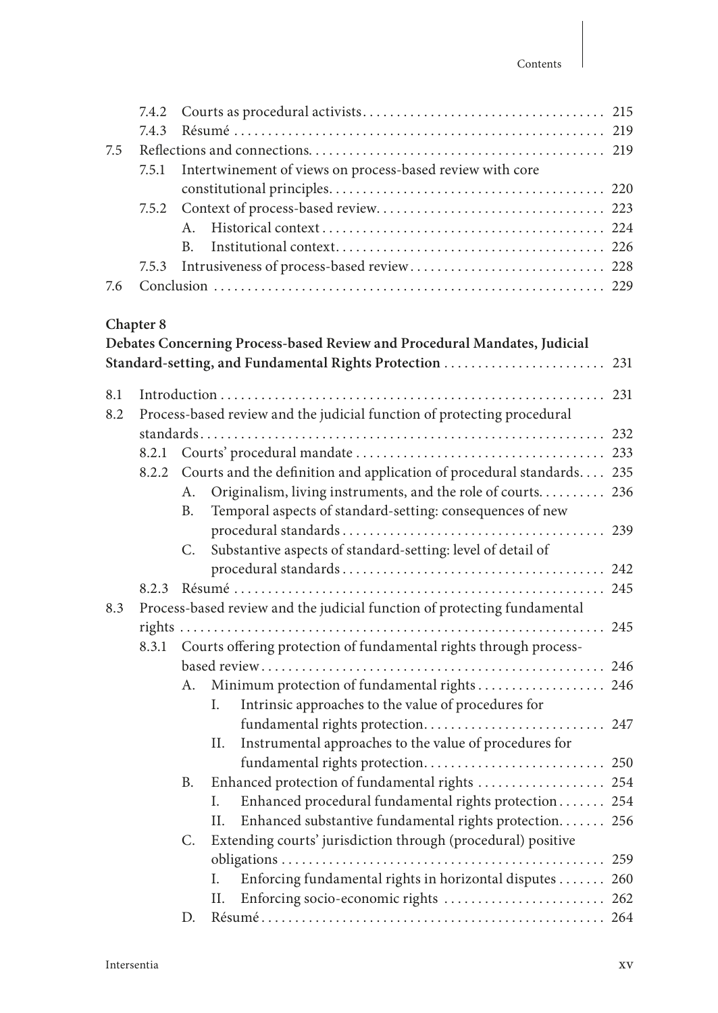| 7.5 | 7.4.2<br>7.4.3<br>7.5.1 | Intertwinement of views on process-based review with core                   |  |
|-----|-------------------------|-----------------------------------------------------------------------------|--|
|     |                         |                                                                             |  |
|     |                         |                                                                             |  |
|     |                         | $A_{\cdot}$                                                                 |  |
|     |                         | B <sub>1</sub>                                                              |  |
|     | 7.5.3                   |                                                                             |  |
| 7.6 |                         |                                                                             |  |
|     |                         |                                                                             |  |
|     | Chapter 8               | Debates Concerning Process-based Review and Procedural Mandates, Judicial   |  |
|     |                         |                                                                             |  |
| 8.1 |                         |                                                                             |  |
| 8.2 |                         | Process-based review and the judicial function of protecting procedural     |  |
|     |                         |                                                                             |  |
|     | 8.2.1                   |                                                                             |  |
|     |                         | 8.2.2 Courts and the definition and application of procedural standards 235 |  |

|     |           |    | 8.2.2 Courts and the definition and application of procedural standards 235 |  |
|-----|-----------|----|-----------------------------------------------------------------------------|--|
|     | A.        |    | Originalism, living instruments, and the role of courts 236                 |  |
|     | <b>B.</b> |    | Temporal aspects of standard-setting: consequences of new                   |  |
|     |           |    |                                                                             |  |
|     | C.        |    | Substantive aspects of standard-setting: level of detail of                 |  |
|     |           |    |                                                                             |  |
|     |           |    |                                                                             |  |
| 8.3 |           |    | Process-based review and the judicial function of protecting fundamental    |  |
|     |           |    |                                                                             |  |
|     |           |    | 8.3.1 Courts offering protection of fundamental rights through process-     |  |
|     |           |    |                                                                             |  |
|     | А.        |    | Minimum protection of fundamental rights 246                                |  |
|     |           | L. | Intrinsic approaches to the value of procedures for                         |  |
|     |           |    | fundamental rights protection 247                                           |  |
|     |           | Н. | Instrumental approaches to the value of procedures for                      |  |
|     |           |    |                                                                             |  |
|     | <b>B.</b> |    | Enhanced protection of fundamental rights  254                              |  |
|     |           | L. | Enhanced procedural fundamental rights protection 254                       |  |
|     |           | Н. | Enhanced substantive fundamental rights protection 256                      |  |
|     | C.        |    | Extending courts' jurisdiction through (procedural) positive                |  |
|     |           |    |                                                                             |  |
|     |           | L. | Enforcing fundamental rights in horizontal disputes  260                    |  |
|     |           | H. |                                                                             |  |
|     | D.        |    |                                                                             |  |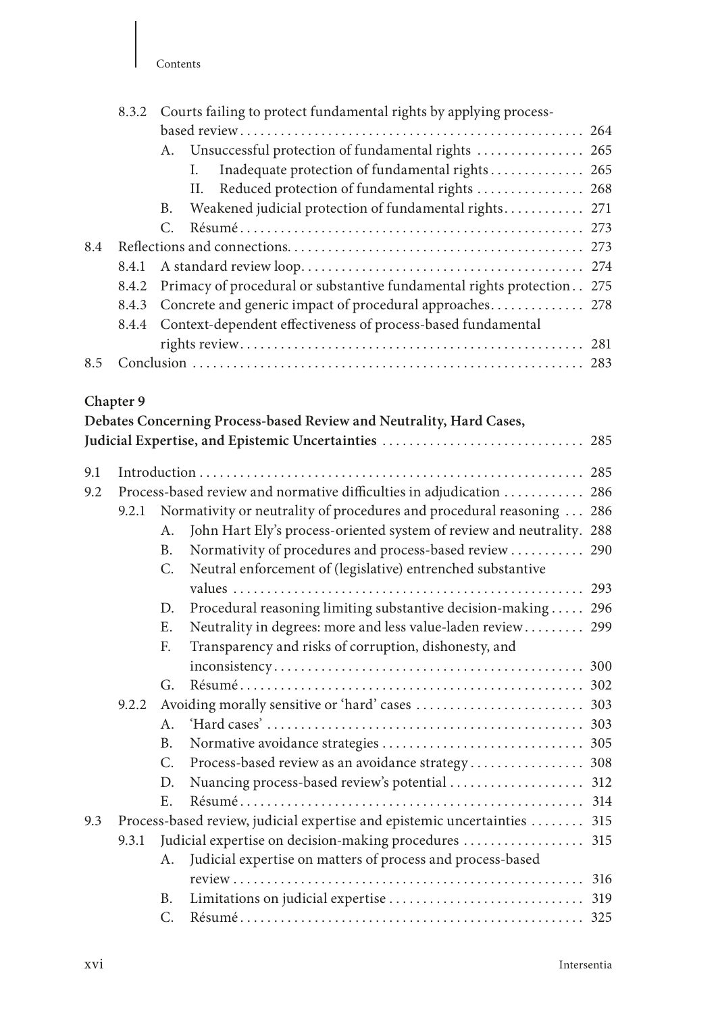|     | 8.3.2     | Courts failing to protect fundamental rights by applying process-          |  |
|-----|-----------|----------------------------------------------------------------------------|--|
|     |           |                                                                            |  |
|     |           | A. Unsuccessful protection of fundamental rights  265                      |  |
|     |           | Inadequate protection of fundamental rights 265<br>L.                      |  |
|     |           | Reduced protection of fundamental rights  268<br>H.                        |  |
|     |           | Weakened judicial protection of fundamental rights 271<br>B.               |  |
|     |           | $C_{\cdot}$                                                                |  |
| 8.4 |           |                                                                            |  |
|     | 8.4.1     |                                                                            |  |
|     | 8.4.2     | Primacy of procedural or substantive fundamental rights protection 275     |  |
|     | 8.4.3     | Concrete and generic impact of procedural approaches 278                   |  |
|     | 8.4.4     | Context-dependent effectiveness of process-based fundamental               |  |
|     |           |                                                                            |  |
| 8.5 |           |                                                                            |  |
|     | Chapter 9 |                                                                            |  |
|     |           | Debates Concerning Process-based Review and Neutrality, Hard Cases,        |  |
|     |           |                                                                            |  |
| 9.1 |           |                                                                            |  |
| 9.2 |           | Process-based review and normative difficulties in adjudication  286       |  |
|     |           | 9.2.1 Normativity or neutrality of procedures and procedural reasoning 286 |  |

### ty or neutrality of procedures and procedural reasoning . A. John Hart Ely's process-oriented system of review and neutrality. 288 B. Normativity of procedures and process-based review . . . . . . . . . . . 290 C. Neutral enforcement of (legislative) entrenched substantive values . . . . . . . . . . . . . . . . . . . . . . . . . . . . . . . . . . . . . . . . . . . . . . . . . . . . 293 D. Procedural reasoning limiting substantive decision-making ..... 296

|     |       | Ε. | Neutrality in degrees: more and less value-laden review 299               |  |
|-----|-------|----|---------------------------------------------------------------------------|--|
|     |       | F. | Transparency and risks of corruption, dishonesty, and                     |  |
|     |       |    |                                                                           |  |
|     |       |    |                                                                           |  |
|     | 9.2.2 |    |                                                                           |  |
|     |       |    |                                                                           |  |
|     |       | B. |                                                                           |  |
|     |       | C. |                                                                           |  |
|     |       | D. |                                                                           |  |
|     |       | E. |                                                                           |  |
| 9.3 |       |    | Process-based review, judicial expertise and epistemic uncertainties  315 |  |
|     | 9.3.1 |    |                                                                           |  |
|     |       | A. | Judicial expertise on matters of process and process-based                |  |
|     |       |    |                                                                           |  |
|     |       | B. |                                                                           |  |
|     |       | C. |                                                                           |  |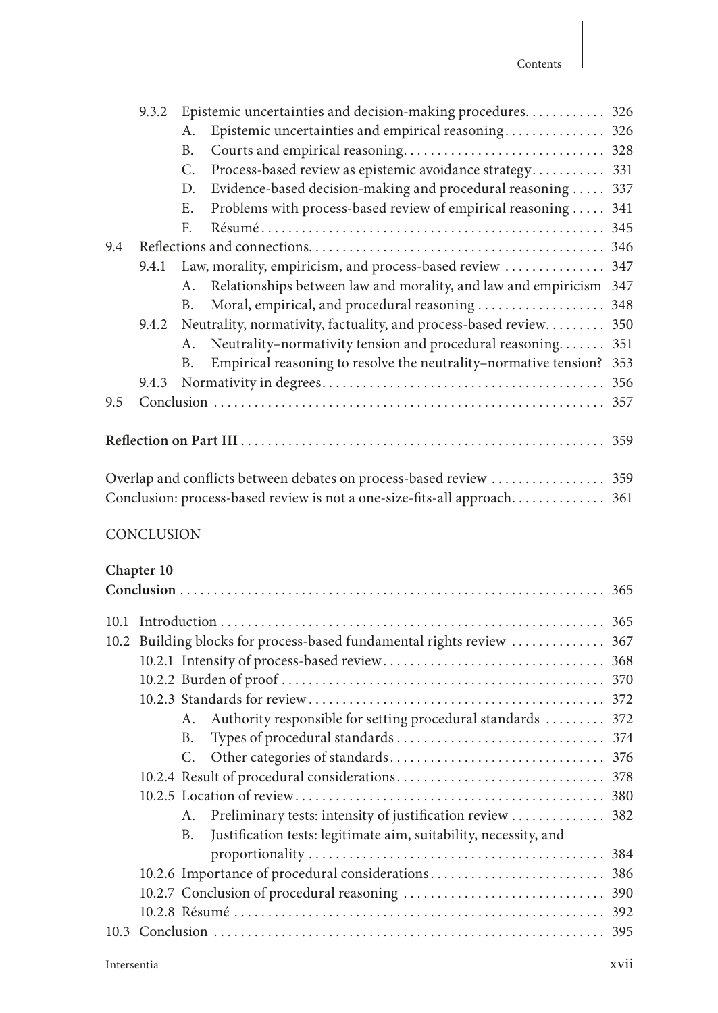|     | 9.3.2                                                                    |                | Epistemic uncertainties and decision-making procedures 326              |     |  |  |
|-----|--------------------------------------------------------------------------|----------------|-------------------------------------------------------------------------|-----|--|--|
|     |                                                                          | A.             | Epistemic uncertainties and empirical reasoning 326                     |     |  |  |
|     |                                                                          | B <sub>1</sub> |                                                                         |     |  |  |
|     |                                                                          | $C_{\cdot}$    | Process-based review as epistemic avoidance strategy 331                |     |  |  |
|     |                                                                          | D.             | Evidence-based decision-making and procedural reasoning  337            |     |  |  |
|     |                                                                          | Ε.             | Problems with process-based review of empirical reasoning  341          |     |  |  |
|     |                                                                          | $F_{\cdot}$    |                                                                         |     |  |  |
| 9.4 |                                                                          |                |                                                                         |     |  |  |
|     | 9.4.1                                                                    |                | Law, morality, empiricism, and process-based review  347                |     |  |  |
|     |                                                                          | A.             | Relationships between law and morality, and law and empiricism 347      |     |  |  |
|     |                                                                          | В.             |                                                                         |     |  |  |
|     |                                                                          |                | 9.4.2 Neutrality, normativity, factuality, and process-based review 350 |     |  |  |
|     |                                                                          | Α.             | Neutrality-normativity tension and procedural reasoning                 | 351 |  |  |
|     |                                                                          | B.             | Empirical reasoning to resolve the neutrality-normative tension? 353    |     |  |  |
|     | 9.4.3                                                                    |                |                                                                         | 356 |  |  |
| 9.5 |                                                                          |                |                                                                         |     |  |  |
|     |                                                                          |                |                                                                         |     |  |  |
|     |                                                                          |                |                                                                         |     |  |  |
|     |                                                                          |                |                                                                         |     |  |  |
|     |                                                                          |                |                                                                         |     |  |  |
|     | Conclusion: process-based review is not a one-size-fits-all approach 361 |                |                                                                         |     |  |  |

### **CONCLUSION**

#### **Chapter 10**

| 101  |                                                                        |
|------|------------------------------------------------------------------------|
| 10.2 | Building blocks for process-based fundamental rights review  367       |
|      |                                                                        |
|      |                                                                        |
|      |                                                                        |
|      | Authority responsible for setting procedural standards  372<br>А.      |
|      | <b>B.</b>                                                              |
|      | C.                                                                     |
|      |                                                                        |
|      |                                                                        |
|      | Preliminary tests: intensity of justification review  382<br>A.        |
|      | Justification tests: legitimate aim, suitability, necessity, and<br>B. |
|      |                                                                        |
|      |                                                                        |
|      |                                                                        |
|      |                                                                        |
| 10.3 |                                                                        |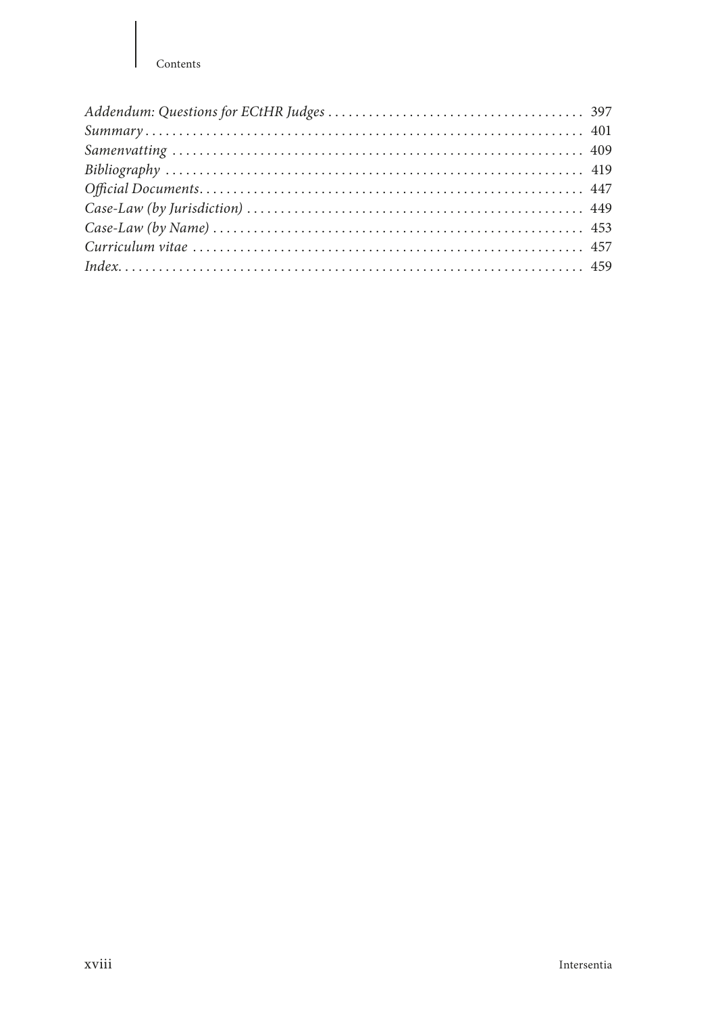#### Contents

| $Case-Law (by Name) \dots 153$ |  |
|--------------------------------|--|
|                                |  |
|                                |  |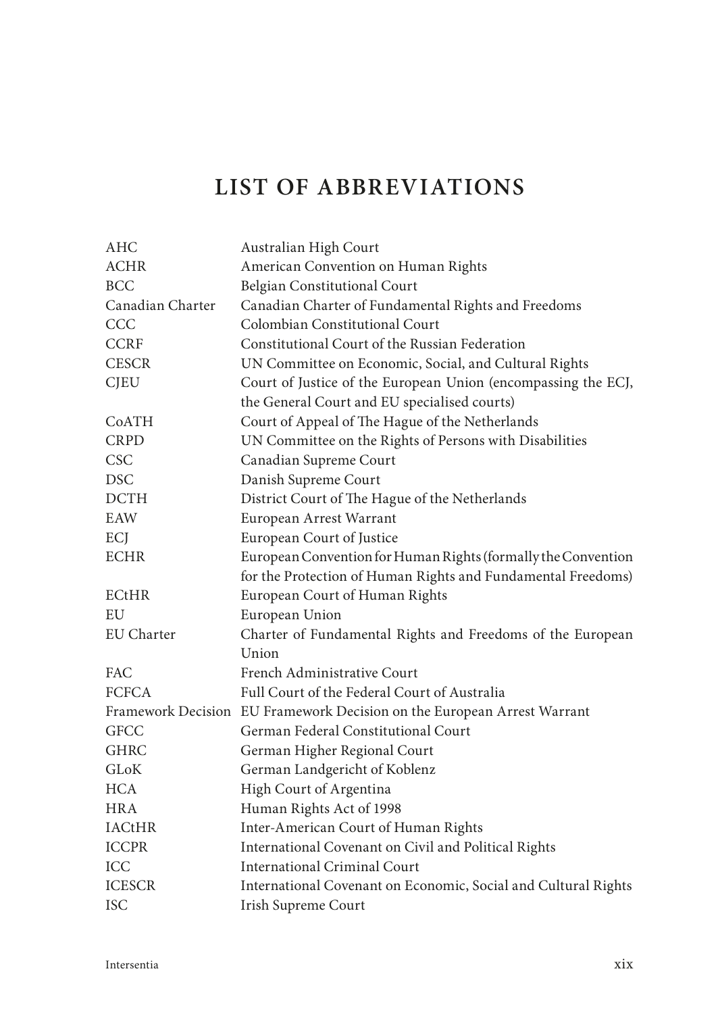## **LIST OF ABBREVIATIONS**

| <b>AHC</b>       | Australian High Court                                                   |
|------------------|-------------------------------------------------------------------------|
| <b>ACHR</b>      | American Convention on Human Rights                                     |
| <b>BCC</b>       | Belgian Constitutional Court                                            |
| Canadian Charter | Canadian Charter of Fundamental Rights and Freedoms                     |
| CCC              | Colombian Constitutional Court                                          |
| <b>CCRF</b>      | Constitutional Court of the Russian Federation                          |
| <b>CESCR</b>     | UN Committee on Economic, Social, and Cultural Rights                   |
| <b>CJEU</b>      | Court of Justice of the European Union (encompassing the ECJ,           |
|                  | the General Court and EU specialised courts)                            |
| CoATH            | Court of Appeal of The Hague of the Netherlands                         |
| <b>CRPD</b>      | UN Committee on the Rights of Persons with Disabilities                 |
| <b>CSC</b>       | Canadian Supreme Court                                                  |
| <b>DSC</b>       | Danish Supreme Court                                                    |
| <b>DCTH</b>      | District Court of The Hague of the Netherlands                          |
| EAW              | European Arrest Warrant                                                 |
| ECJ              | European Court of Justice                                               |
| <b>ECHR</b>      | European Convention for Human Rights (formally the Convention           |
|                  | for the Protection of Human Rights and Fundamental Freedoms)            |
| <b>ECtHR</b>     | European Court of Human Rights                                          |
| EU               | European Union                                                          |
| EU Charter       | Charter of Fundamental Rights and Freedoms of the European              |
|                  | Union                                                                   |
| FAC              | French Administrative Court                                             |
| <b>FCFCA</b>     | Full Court of the Federal Court of Australia                            |
|                  | Framework Decision EU Framework Decision on the European Arrest Warrant |
| <b>GFCC</b>      | German Federal Constitutional Court                                     |
| <b>GHRC</b>      | German Higher Regional Court                                            |
| <b>GLOK</b>      | German Landgericht of Koblenz                                           |
| <b>HCA</b>       | High Court of Argentina                                                 |
| HRA              | Human Rights Act of 1998                                                |
| <b>IACtHR</b>    | Inter-American Court of Human Rights                                    |
| <b>ICCPR</b>     | International Covenant on Civil and Political Rights                    |
| ICC              | International Criminal Court                                            |
| <b>ICESCR</b>    | International Covenant on Economic, Social and Cultural Rights          |
| <b>ISC</b>       | Irish Supreme Court                                                     |